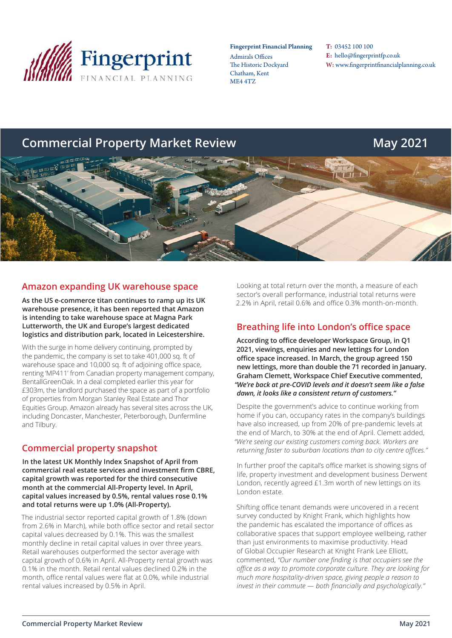

Fingerprint Financial Planning

Admirals Offices The Historic Dockyard Chatham, Kent ME4 4TZ

T: 03452 100 100 E: hello@fingerprintfp.co.uk W: www.fingerprintfinancialplanning.co.uk

# **Commercial Property Market Review May 2021**



## **Amazon expanding UK warehouse space**

**As the US e-commerce titan continues to ramp up its UK warehouse presence, it has been reported that Amazon is intending to take warehouse space at Magna Park Lutterworth, the UK and Europe's largest dedicated logistics and distribution park, located in Leicestershire.**

With the surge in home delivery continuing, prompted by the pandemic, the company is set to take 401,000 sq. ft of warehouse space and 10,000 sq. ft of adjoining office space, renting 'MP411' from Canadian property management company, BentallGreenOak. In a deal completed earlier this year for £303m, the landlord purchased the space as part of a portfolio of properties from Morgan Stanley Real Estate and Thor Equities Group. Amazon already has several sites across the UK, including Doncaster, Manchester, Peterborough, Dunfermline and Tilbury.

# **Commercial property snapshot**

**In the latest UK Monthly Index Snapshot of April from commercial real estate services and investment firm CBRE, capital growth was reported for the third consecutive month at the commercial All-Property level. In April, capital values increased by 0.5%, rental values rose 0.1% and total returns were up 1.0% (All-Property).**

The industrial sector reported capital growth of 1.8% (down from 2.6% in March), while both office sector and retail sector capital values decreased by 0.1%. This was the smallest monthly decline in retail capital values in over three years. Retail warehouses outperformed the sector average with capital growth of 0.6% in April. All-Property rental growth was 0.1% in the month. Retail rental values declined 0.2% in the month, office rental values were flat at 0.0%, while industrial rental values increased by 0.5% in April.

Looking at total return over the month, a measure of each sector's overall performance, industrial total returns were 2.2% in April, retail 0.6% and office 0.3% month-on-month.

## **Breathing life into London's office space**

**According to office developer Workspace Group, in Q1 2021, viewings, enquiries and new lettings for London office space increased. In March, the group agreed 150 new lettings, more than double the 71 recorded in January. Graham Clemett, Workspace Chief Executive commented,**  *"We're back at pre-COVID levels and it doesn't seem like a false dawn, it looks like a consistent return of customers."*

Despite the government's advice to continue working from home if you can, occupancy rates in the company's buildings have also increased, up from 20% of pre-pandemic levels at the end of March, to 30% at the end of April. Clemett added, *"We're seeing our existing customers coming back. Workers are returning faster to suburban locations than to city centre offices."*

In further proof the capital's office market is showing signs of life, property investment and development business Derwent London, recently agreed £1.3m worth of new lettings on its London estate.

Shifting office tenant demands were uncovered in a recent survey conducted by Knight Frank, which highlights how the pandemic has escalated the importance of offices as collaborative spaces that support employee wellbeing, rather than just environments to maximise productivity. Head of Global Occupier Research at Knight Frank Lee Elliott, commented, *"Our number one finding is that occupiers see the office as a way to promote corporate culture. They are looking for much more hospitality-driven space, giving people a reason to invest in their commute — both financially and psychologically."*